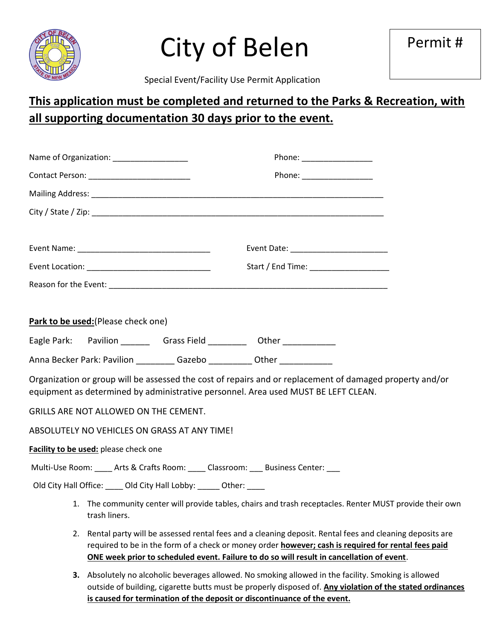

# City of Belen

Special Event/Facility Use Permit Application

## **This application must be completed and returned to the Parks & Recreation, with all supporting documentation 30 days prior to the event.**

| Name of Organization: ___________________                                                                                                                                                      |                                                                                                                                                                                                                                                                                                                |  |  |  |  |  |
|------------------------------------------------------------------------------------------------------------------------------------------------------------------------------------------------|----------------------------------------------------------------------------------------------------------------------------------------------------------------------------------------------------------------------------------------------------------------------------------------------------------------|--|--|--|--|--|
|                                                                                                                                                                                                |                                                                                                                                                                                                                                                                                                                |  |  |  |  |  |
|                                                                                                                                                                                                |                                                                                                                                                                                                                                                                                                                |  |  |  |  |  |
|                                                                                                                                                                                                |                                                                                                                                                                                                                                                                                                                |  |  |  |  |  |
|                                                                                                                                                                                                |                                                                                                                                                                                                                                                                                                                |  |  |  |  |  |
|                                                                                                                                                                                                |                                                                                                                                                                                                                                                                                                                |  |  |  |  |  |
|                                                                                                                                                                                                |                                                                                                                                                                                                                                                                                                                |  |  |  |  |  |
|                                                                                                                                                                                                |                                                                                                                                                                                                                                                                                                                |  |  |  |  |  |
|                                                                                                                                                                                                |                                                                                                                                                                                                                                                                                                                |  |  |  |  |  |
| Park to be used: (Please check one)                                                                                                                                                            |                                                                                                                                                                                                                                                                                                                |  |  |  |  |  |
| Eagle Park: Pavilion ________ Grass Field _________ Other ___________                                                                                                                          |                                                                                                                                                                                                                                                                                                                |  |  |  |  |  |
| Anna Becker Park: Pavilion ___________ Gazebo ___________ Other _______________                                                                                                                |                                                                                                                                                                                                                                                                                                                |  |  |  |  |  |
| Organization or group will be assessed the cost of repairs and or replacement of damaged property and/or<br>equipment as determined by administrative personnel. Area used MUST BE LEFT CLEAN. |                                                                                                                                                                                                                                                                                                                |  |  |  |  |  |
| <b>GRILLS ARE NOT ALLOWED ON THE CEMENT.</b>                                                                                                                                                   |                                                                                                                                                                                                                                                                                                                |  |  |  |  |  |
| ABSOLUTELY NO VEHICLES ON GRASS AT ANY TIME!                                                                                                                                                   |                                                                                                                                                                                                                                                                                                                |  |  |  |  |  |
| Facility to be used: please check one                                                                                                                                                          |                                                                                                                                                                                                                                                                                                                |  |  |  |  |  |
| Multi-Use Room: _____ Arts & Crafts Room: ____ Classroom: ____ Business Center: ___                                                                                                            |                                                                                                                                                                                                                                                                                                                |  |  |  |  |  |
| Old City Hall Office: _____ Old City Hall Lobby: _____ Other: ____                                                                                                                             |                                                                                                                                                                                                                                                                                                                |  |  |  |  |  |
| trash liners.                                                                                                                                                                                  | 1. The community center will provide tables, chairs and trash receptacles. Renter MUST provide their own                                                                                                                                                                                                       |  |  |  |  |  |
|                                                                                                                                                                                                | 2. Rental party will be assessed rental fees and a cleaning deposit. Rental fees and cleaning deposits are<br>required to be in the form of a check or money order however; cash is required for rental fees paid<br>ONE week prior to scheduled event. Failure to do so will result in cancellation of event. |  |  |  |  |  |

**3.** Absolutely no alcoholic beverages allowed. No smoking allowed in the facility. Smoking is allowed outside of building, cigarette butts must be properly disposed of. **Any violation of the stated ordinances is caused for termination of the deposit or discontinuance of the event.**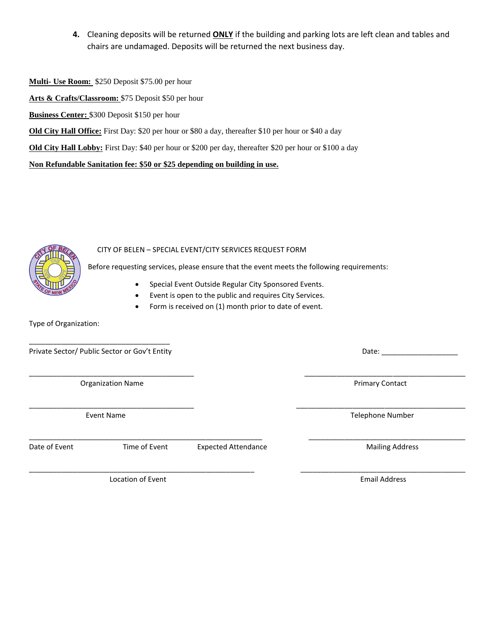**4.** Cleaning deposits will be returned **ONLY** if the building and parking lots are left clean and tables and chairs are undamaged. Deposits will be returned the next business day.

**Multi- Use Room:** \$250 Deposit \$75.00 per hour

**Arts & Crafts/Classroom:** \$75 Deposit \$50 per hour

**Business Center:** \$300 Deposit \$150 per hour

**Old City Hall Office:** First Day: \$20 per hour or \$80 a day, thereafter \$10 per hour or \$40 a day

**Old City Hall Lobby:** First Day: \$40 per hour or \$200 per day, thereafter \$20 per hour or \$100 a day

**Non Refundable Sanitation fee: \$50 or \$25 depending on building in use.**



#### CITY OF BELEN – SPECIAL EVENT/CITY SERVICES REQUEST FORM

Before requesting services, please ensure that the event meets the following requirements:

\_\_\_\_\_\_\_\_\_\_\_\_\_\_\_\_\_\_\_\_\_\_\_\_\_\_\_\_\_\_\_\_\_\_\_\_\_\_\_\_\_ \_\_\_\_\_\_\_\_\_\_\_\_\_\_\_\_\_\_\_\_\_\_\_\_\_\_\_\_\_\_\_\_\_\_\_\_\_\_\_\_

\_\_\_\_\_\_\_\_\_\_\_\_\_\_\_\_\_\_\_\_\_\_\_\_\_\_\_\_\_\_\_\_\_\_\_\_\_\_\_\_\_ \_\_\_\_\_\_\_\_\_\_\_\_\_\_\_\_\_\_\_\_\_\_\_\_\_\_\_\_\_\_\_\_\_\_\_\_\_\_\_\_\_\_

 $\overline{\phantom{a}}$  , and the contribution of the contribution of the contribution of  $\overline{\phantom{a}}$  ,  $\overline{\phantom{a}}$  ,  $\overline{\phantom{a}}$  ,  $\overline{\phantom{a}}$  ,  $\overline{\phantom{a}}$  ,  $\overline{\phantom{a}}$  ,  $\overline{\phantom{a}}$  ,  $\overline{\phantom{a}}$  ,  $\overline{\phantom{a}}$  ,  $\overline{\phantom{a}}$  ,  $\over$ 

- Special Event Outside Regular City Sponsored Events.
- Event is open to the public and requires City Services.
- Form is received on (1) month prior to date of event.

Type of Organization:

\_\_\_\_\_\_\_\_\_\_\_\_\_\_\_\_\_\_\_\_\_\_\_\_\_\_\_\_\_\_\_\_\_\_\_ Private Sector/ Public Sector or Gov't Entity **Date:** Date: <u>Date:</u> Date: Date: Date: Date: Date: Date: Date: Date: Date: Date: Date: Date: Date: Date: Date: Date: Date: Date: Date: Date: Date: Date: Date: Date: Date: Date

Organization Name **Primary Contact Primary Contact** 

Event Name Telephone Number

Date of Event Time of Event Expected Attendance and Mailing Address

Location of Event Email Address and Email Address and Email Address

 $\overline{\phantom{a}}$  , and the contribution of the contribution of the contribution of the contribution of the contribution of the contribution of the contribution of the contribution of the contribution of the contribution of the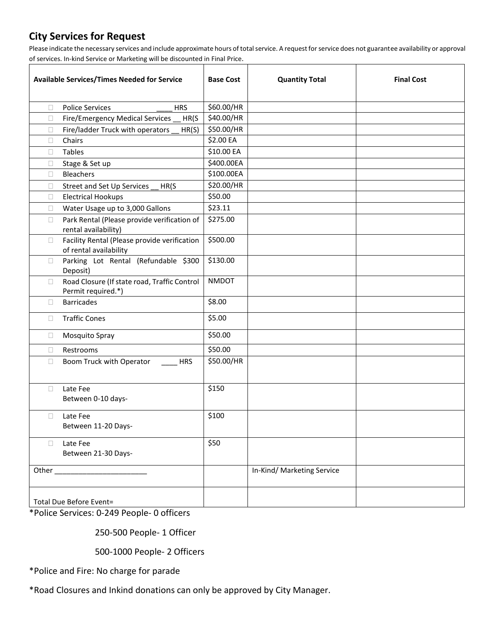### **City Services for Request**

Please indicate the necessary services and include approximate hours of total service. A request for service does not guarantee availability or approval of services. In-kind Service or Marketing will be discounted in Final Price.

| <b>Available Services/Times Needed for Service</b> |                                                                        | <b>Base Cost</b> | <b>Quantity Total</b>      | <b>Final Cost</b> |
|----------------------------------------------------|------------------------------------------------------------------------|------------------|----------------------------|-------------------|
|                                                    |                                                                        |                  |                            |                   |
| $\Box$                                             | <b>Police Services</b><br><b>HRS</b>                                   | \$60.00/HR       |                            |                   |
| $\Box$                                             | Fire/Emergency Medical Services<br>HR(S)                               | \$40.00/HR       |                            |                   |
| $\Box$                                             | Fire/ladder Truck with operators<br>HR(S)                              | \$50.00/HR       |                            |                   |
| $\Box$                                             | Chairs                                                                 | \$2.00 EA        |                            |                   |
| □                                                  | Tables                                                                 | \$10.00 EA       |                            |                   |
| $\Box$                                             | Stage & Set up                                                         | \$400.00EA       |                            |                   |
| $\Box$                                             | Bleachers                                                              | \$100.00EA       |                            |                   |
| $\Box$                                             | Street and Set Up Services<br>HR(S                                     | \$20.00/HR       |                            |                   |
| $\Box$                                             | <b>Electrical Hookups</b>                                              | \$50.00          |                            |                   |
| $\Box$                                             | Water Usage up to 3,000 Gallons                                        | \$23.11          |                            |                   |
| $\Box$                                             | Park Rental (Please provide verification of<br>rental availability)    | \$275.00         |                            |                   |
| 0                                                  | Facility Rental (Please provide verification<br>of rental availability | \$500.00         |                            |                   |
| $\Box$                                             | Parking Lot Rental (Refundable \$300<br>Deposit)                       | \$130.00         |                            |                   |
| $\Box$                                             | Road Closure (If state road, Traffic Control<br>Permit required.*)     | <b>NMDOT</b>     |                            |                   |
| □                                                  | <b>Barricades</b>                                                      | \$8.00           |                            |                   |
| $\Box$                                             | <b>Traffic Cones</b>                                                   | \$5.00           |                            |                   |
| $\Box$                                             | Mosquito Spray                                                         | \$50.00          |                            |                   |
| $\Box$                                             | Restrooms                                                              | \$50.00          |                            |                   |
| □                                                  | Boom Truck with Operator<br><b>HRS</b>                                 | \$50.00/HR       |                            |                   |
| □                                                  | Late Fee<br>Between 0-10 days-                                         | \$150            |                            |                   |
| $\Box$                                             | Late Fee<br>Between 11-20 Days-                                        | \$100            |                            |                   |
| П                                                  | Late Fee<br>Between 21-30 Days-                                        | \$50             |                            |                   |
|                                                    |                                                                        |                  | In-Kind/ Marketing Service |                   |
|                                                    | Total Due Before Event=                                                |                  |                            |                   |

\*Police Services: 0-249 People- 0 officers

250-500 People- 1 Officer

500-1000 People- 2 Officers

\*Police and Fire: No charge for parade

\*Road Closures and Inkind donations can only be approved by City Manager.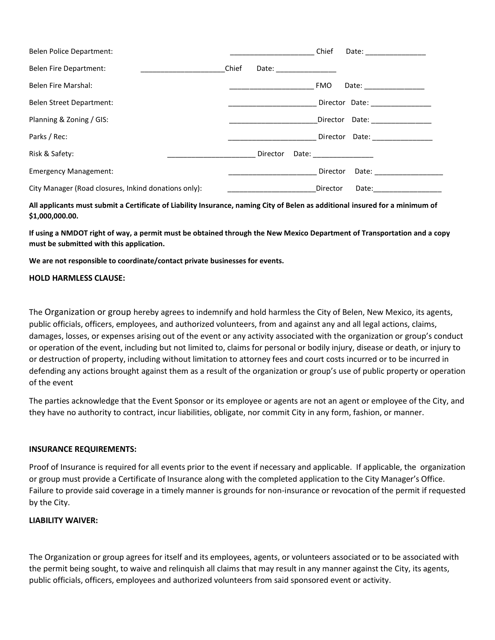| Belen Police Department:                             |       |                                                                                                                | Chief      |                                                                                                                                                                                                                                |
|------------------------------------------------------|-------|----------------------------------------------------------------------------------------------------------------|------------|--------------------------------------------------------------------------------------------------------------------------------------------------------------------------------------------------------------------------------|
| <b>Belen Fire Department:</b>                        | Chief | Date: and the state of the state of the state of the state of the state of the state of the state of the state |            |                                                                                                                                                                                                                                |
| <b>Belen Fire Marshal:</b>                           |       |                                                                                                                | <b>FMO</b> | Date: __________________                                                                                                                                                                                                       |
| Belen Street Department:                             |       |                                                                                                                |            | Director Date:                                                                                                                                                                                                                 |
| Planning & Zoning / GIS:                             |       |                                                                                                                | Director   | Date: _________________                                                                                                                                                                                                        |
| Parks / Rec:                                         |       |                                                                                                                |            | Director Date:                                                                                                                                                                                                                 |
| Risk & Safety:                                       |       | Director                                                                                                       |            | Date: the contract of the contract of the contract of the contract of the contract of the contract of the contract of the contract of the contract of the contract of the contract of the contract of the contract of the cont |
| <b>Emergency Management:</b>                         |       |                                                                                                                | Director   | Date: the contract of the contract of the contract of the contract of the contract of the contract of the contract of the contract of the contract of the contract of the contract of the contract of the contract of the cont |
| City Manager (Road closures, Inkind donations only): |       |                                                                                                                | Director   | Date:                                                                                                                                                                                                                          |

**All applicants must submit a Certificate of Liability Insurance, naming City of Belen as additional insured for a minimum of \$1,000,000.00.**

**If using a NMDOT right of way, a permit must be obtained through the New Mexico Department of Transportation and a copy must be submitted with this application.**

**We are not responsible to coordinate/contact private businesses for events.**

#### **HOLD HARMLESS CLAUSE:**

The Organization or group hereby agrees to indemnify and hold harmless the City of Belen, New Mexico, its agents, public officials, officers, employees, and authorized volunteers, from and against any and all legal actions, claims, damages, losses, or expenses arising out of the event or any activity associated with the organization or group's conduct or operation of the event, including but not limited to, claims for personal or bodily injury, disease or death, or injury to or destruction of property, including without limitation to attorney fees and court costs incurred or to be incurred in defending any actions brought against them as a result of the organization or group's use of public property or operation of the event

The parties acknowledge that the Event Sponsor or its employee or agents are not an agent or employee of the City, and they have no authority to contract, incur liabilities, obligate, nor commit City in any form, fashion, or manner.

#### **INSURANCE REQUIREMENTS:**

Proof of Insurance is required for all events prior to the event if necessary and applicable. If applicable, the organization or group must provide a Certificate of Insurance along with the completed application to the City Manager's Office. Failure to provide said coverage in a timely manner is grounds for non-insurance or revocation of the permit if requested by the City.

#### **LIABILITY WAIVER:**

The Organization or group agrees for itself and its employees, agents, or volunteers associated or to be associated with the permit being sought, to waive and relinquish all claims that may result in any manner against the City, its agents, public officials, officers, employees and authorized volunteers from said sponsored event or activity.